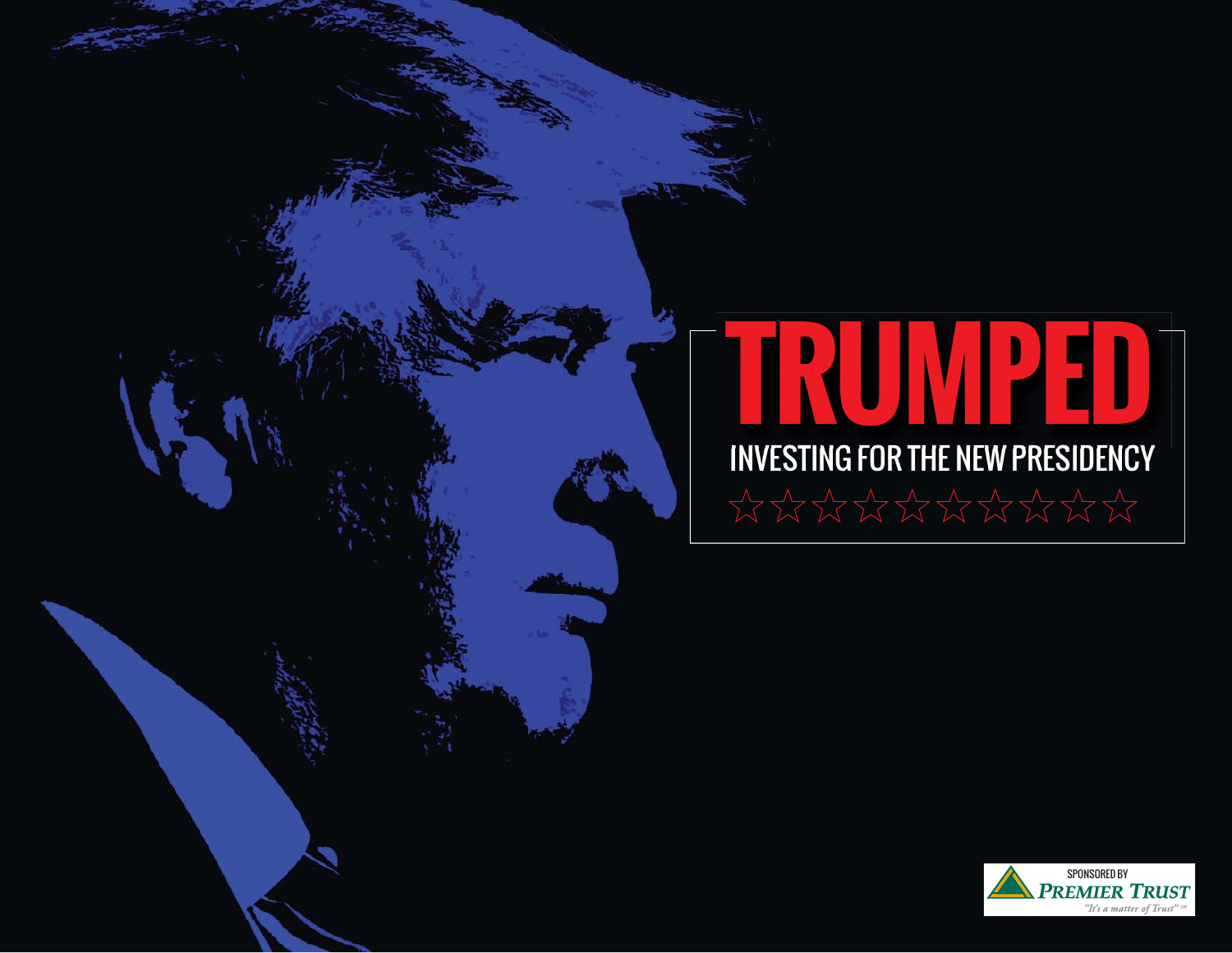# INVESTING FOR THE NEW PRESIDENCY **TRUMPED**

TRUMPED: INVESTING FOR THE NEW PRESIDENCY

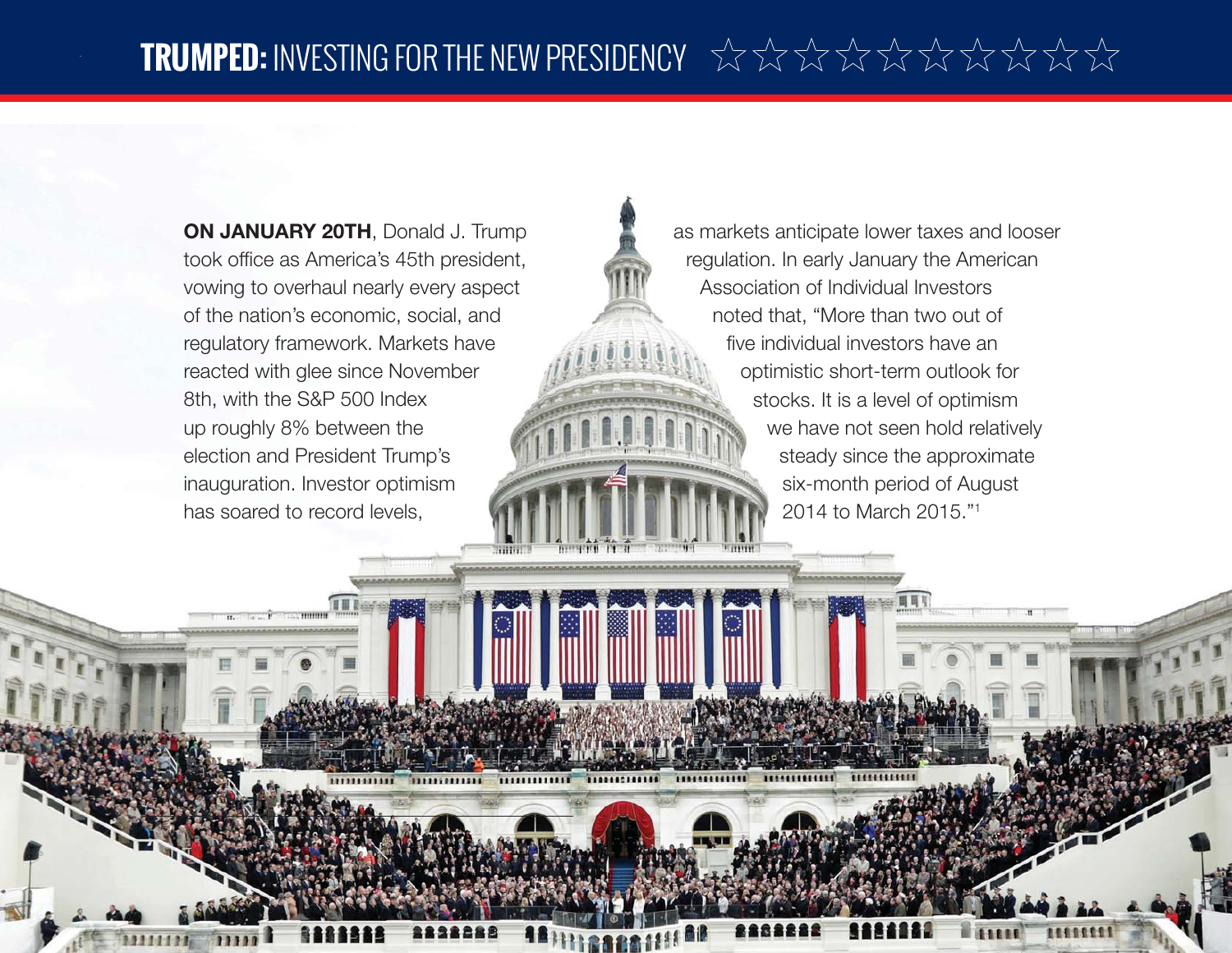**ON JANUARY 20TH, Donald J. Trump** took office as America's 45th president, vowing to overhaul nearly every aspect of the nation's economic, social, and regulatory framework. Markets have reacted with glee since November 8th, with the S&P 500 Index up roughly 8% between the election and President Trump's inauguration. Investor optimism has soared to record levels,

as markets anticipate lower taxes and looser regulation. In early January the American Association of Individual Investors noted that, "More than two out of five individual investors have an optimistic short-term outlook for stocks. It is a level of optimism we have not seen hold relatively steady since the approximate six-month period of August 2014 to March 2015."1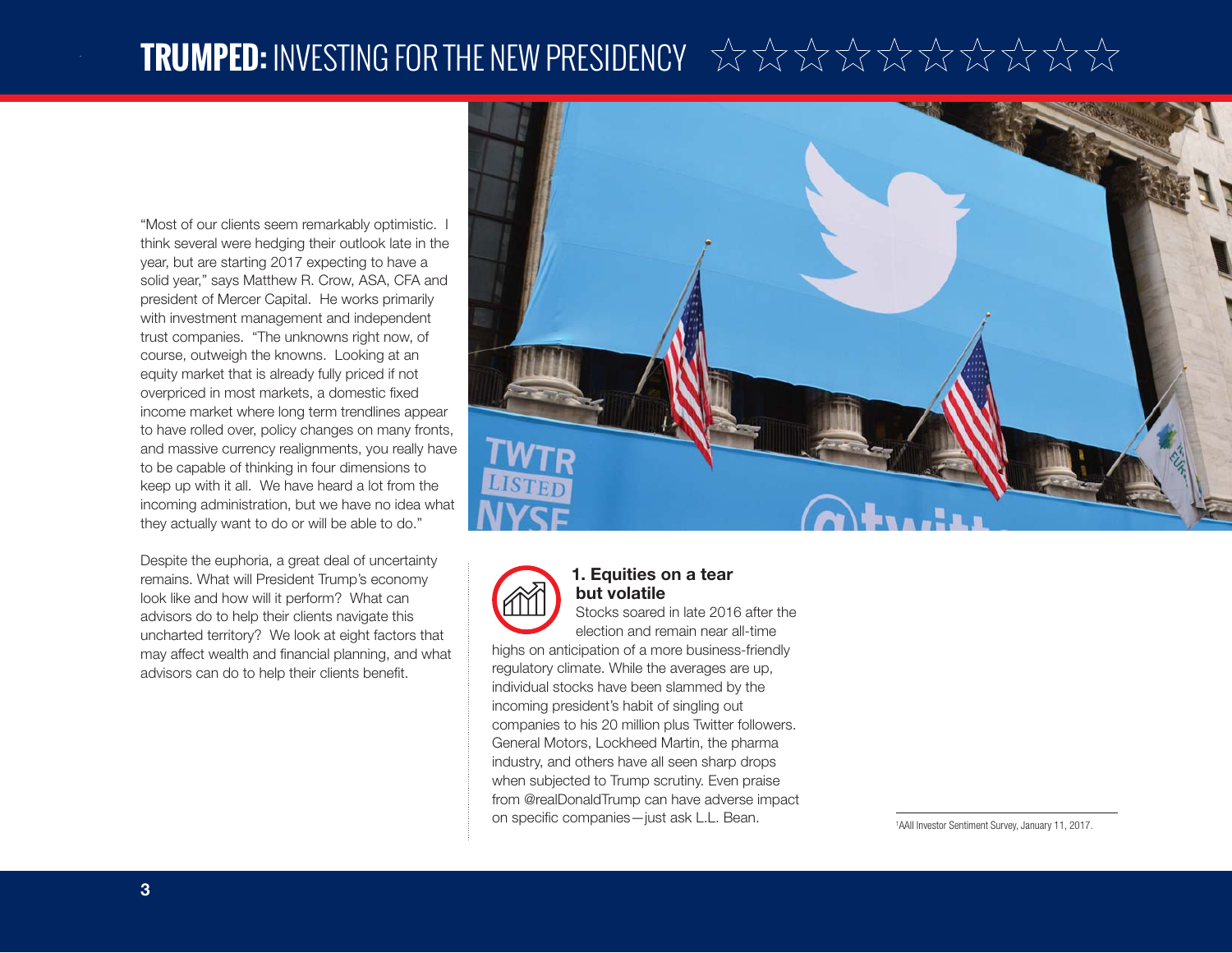### **TRUMPED:** INVESTING FOR THE NEW PRESIDENCY

"Most of our clients seem remarkably optimistic. I think several were hedging their outlook late in the year, but are starting 2017 expecting to have a solid year," says Matthew R. Crow, ASA, CFA and president of Mercer Capital. He works primarily with investment management and independent trust companies. "The unknowns right now, of course, outweigh the knowns. Looking at an equity market that is already fully priced if not overpriced in most markets, a domestic fixed income market where long term trendlines appear to have rolled over, policy changes on many fronts, and massive currency realignments, you really have to be capable of thinking in four dimensions to keep up with it all. We have heard a lot from the incoming administration, but we have no idea what they actually want to do or will be able to do."

Despite the euphoria, a great deal of uncertainty remains. What will President Trump's economy look like and how will it perform? What can advisors do to help their clients navigate this uncharted territory? We look at eight factors that may affect wealth and financial planning, and what advisors can do to help their clients benefit.





#### **1. Equities on a tear but volatile**

Stocks soared in late 2016 after the election and remain near all-time

highs on anticipation of a more business-friendly regulatory climate. While the averages are up, individual stocks have been slammed by the incoming president's habit of singling out companies to his 20 million plus Twitter followers. General Motors, Lockheed Martin, the pharma industry, and others have all seen sharp drops when subjected to Trump scrutiny. Even praise from @realDonaldTrump can have adverse impact on specific companies—just ask L.L. Bean. 1AAII Investor Sentiment Survey, January 11, 2017.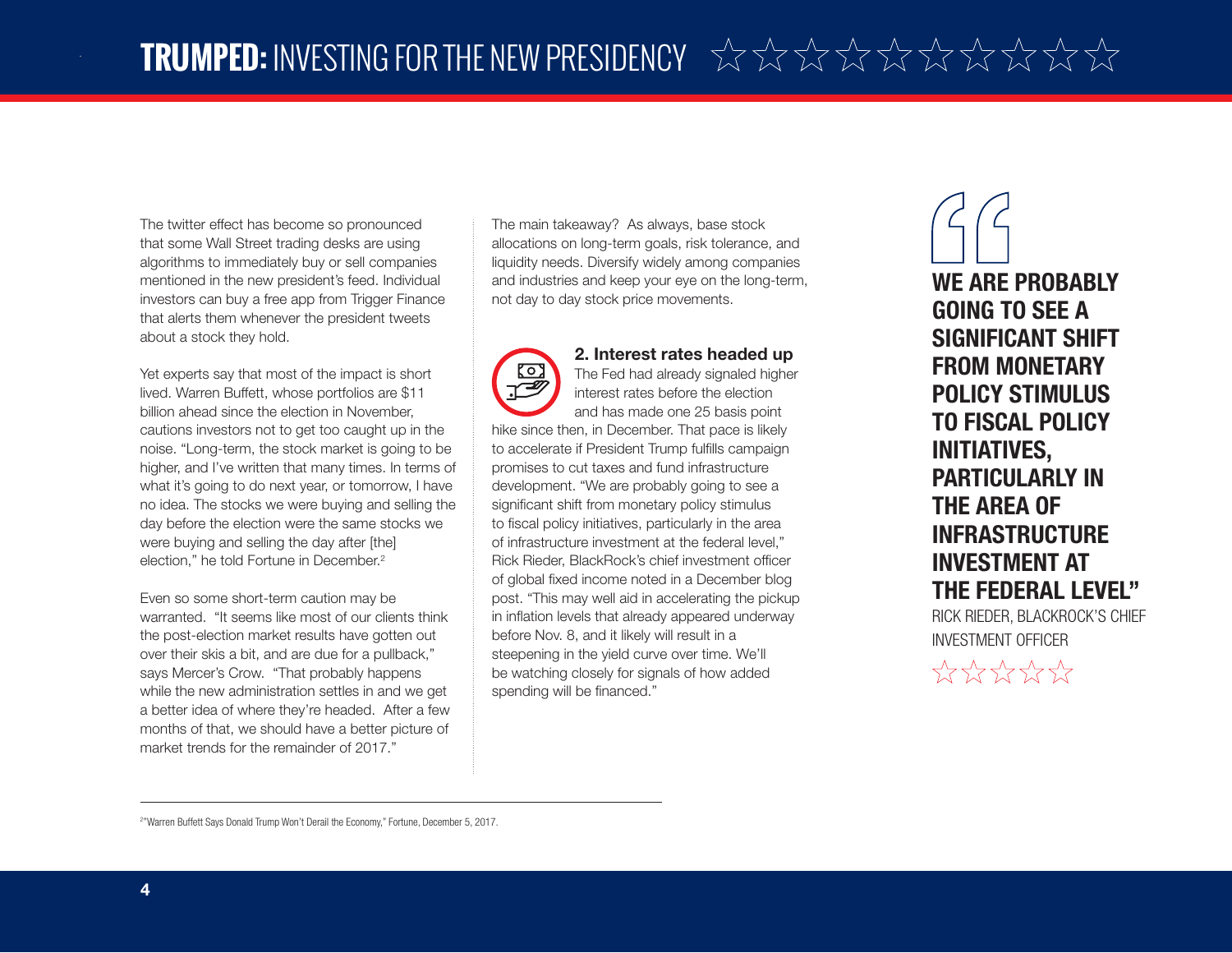The twitter effect has become so pronounced that some Wall Street trading desks are using algorithms to immediately buy or sell companies mentioned in the new president's feed. Individual investors can buy a free app from Trigger Finance that alerts them whenever the president tweets about a stock they hold.

Yet experts say that most of the impact is short lived. Warren Buffett, whose portfolios are \$11 billion ahead since the election in November, cautions investors not to get too caught up in the noise. "Long-term, the stock market is going to be higher, and I've written that many times. In terms of what it's going to do next year, or tomorrow, I have no idea. The stocks we were buying and selling the day before the election were the same stocks we were buying and selling the day after [the] election," he told Fortune in December.2

Even so some short-term caution may be warranted. "It seems like most of our clients think the post-election market results have gotten out over their skis a bit, and are due for a pullback," says Mercer's Crow. "That probably happens while the new administration settles in and we get a better idea of where they're headed. After a few months of that, we should have a better picture of market trends for the remainder of 2017."

The main takeaway? As always, base stock allocations on long-term goals, risk tolerance, and liquidity needs. Diversify widely among companies and industries and keep your eye on the long-term, not day to day stock price movements.

### **2. Interest rates headed up**

The Fed had already signaled higher interest rates before the election and has made one 25 basis point hike since then, in December. That pace is likely to accelerate if President Trump fulfills campaign promises to cut taxes and fund infrastructure development. "We are probably going to see a significant shift from monetary policy stimulus to fiscal policy initiatives, particularly in the area of infrastructure investment at the federal level," Rick Rieder, BlackRock's chief investment officer of global fixed income noted in a December blog post. "This may well aid in accelerating the pickup in inflation levels that already appeared underway before Nov. 8, and it likely will result in a steepening in the yield curve over time. We'll be watching closely for signals of how added spending will be financed."

**WE ARE PROBABLY GOING TO SEE A SIGNIFICANT SHIFT FROM MONETARY POLICY STIMULUS TO FISCAL POLICY INITIATIVES, PARTICULARLY IN THE AREA OF INFRASTRUCTURE INVESTMENT AT THE FEDERAL LEVEL"** RICK RIEDER, BLACKROCK'S CHIEF

INVESTMENT OFFICER

 $\frac{1}{2}$ 

<sup>&</sup>lt;sup>2"</sup> Warren Buffett Says Donald Trump Won't Derail the Economy," Fortune, December 5, 2017.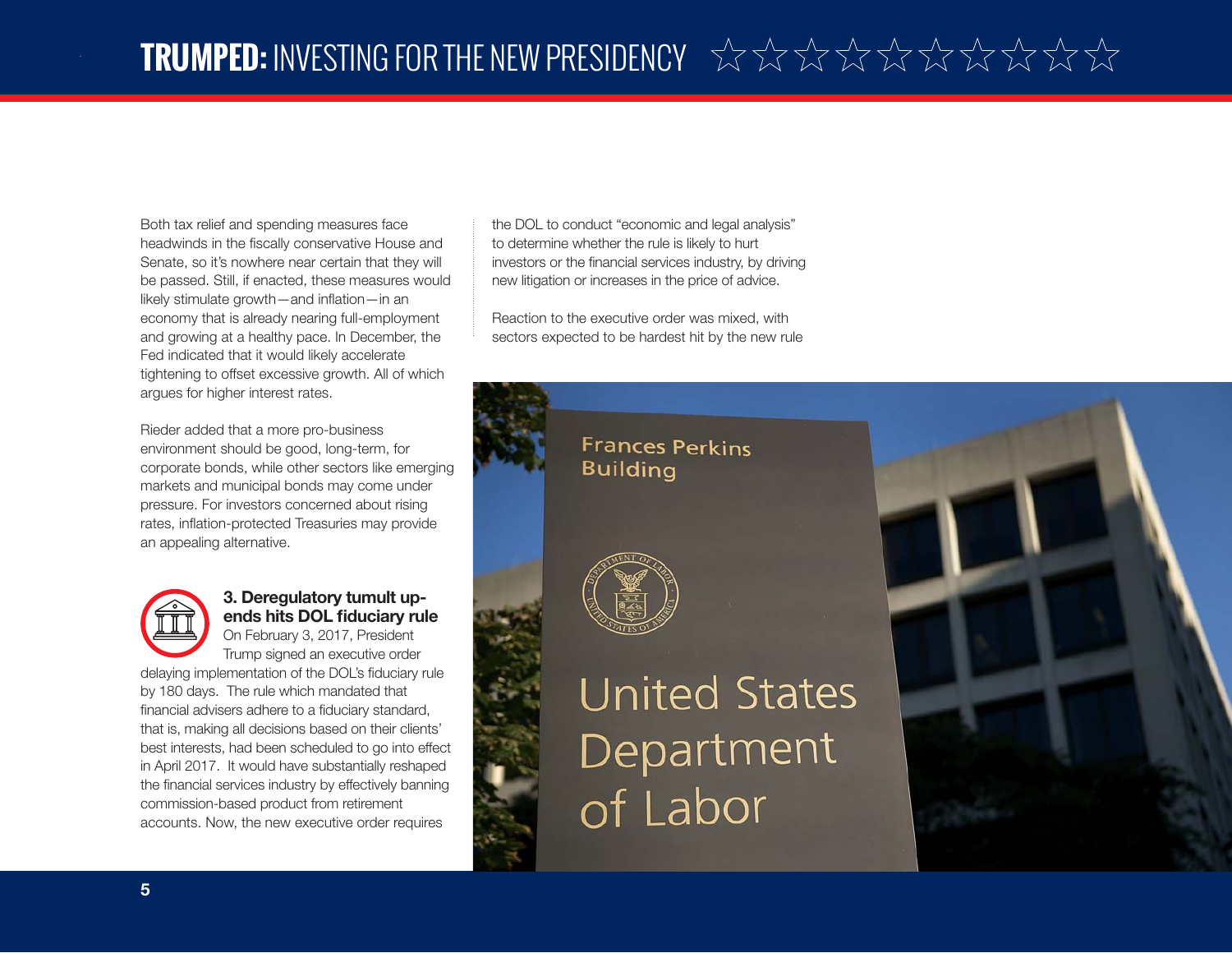Both tax relief and spending measures face headwinds in the fiscally conservative House and Senate, so it's nowhere near certain that they will be passed. Still, if enacted, these measures would likely stimulate growth—and inflation—in an economy that is already nearing full-employment and growing at a healthy pace. In December, the Fed indicated that it would likely accelerate tightening to offset excessive growth. All of which argues for higher interest rates.

Rieder added that a more pro-business environment should be good, long-term, for corporate bonds, while other sectors like emerging markets and municipal bonds may come under pressure. For investors concerned about rising rates, inflation-protected Treasuries may provide an appealing alternative.

 **3. Deregulatory tumult up**ends hits DOL fiduciary rule On February 3, 2017, President Trump signed an executive order delaying implementation of the DOL's fiduciary rule by 180 days. The rule which mandated that financial advisers adhere to a fiduciary standard, that is, making all decisions based on their clients' best interests, had been scheduled to go into effect in April 2017. It would have substantially reshaped the financial services industry by effectively banning commission-based product from retirement accounts. Now, the new executive order requires

the DOL to conduct "economic and legal analysis" to determine whether the rule is likely to hurt investors or the financial services industry, by driving new litigation or increases in the price of advice.

Reaction to the executive order was mixed, with sectors expected to be hardest hit by the new rule

### **Frances Perkins Building**



## **United States** Department of Labor

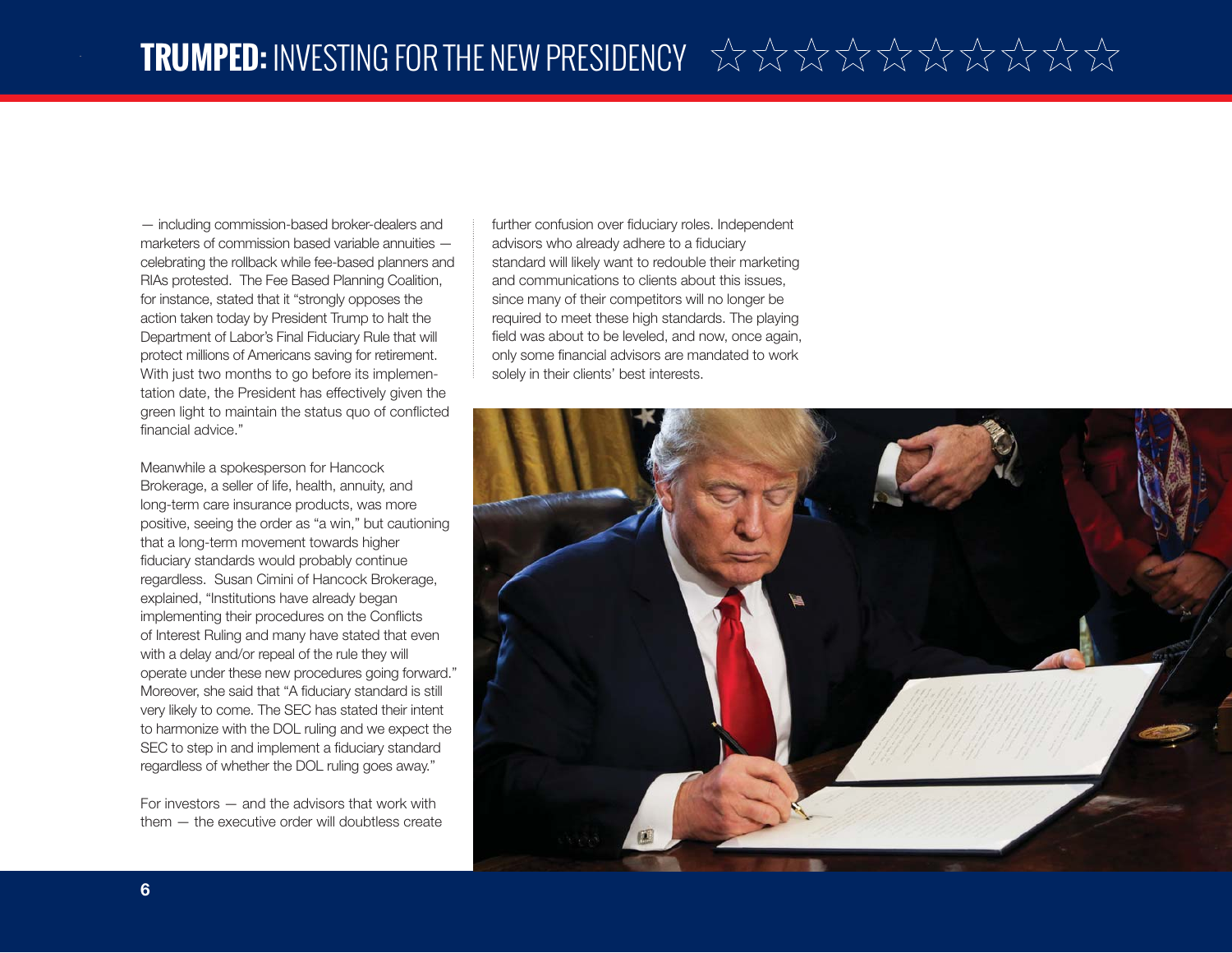— including commission-based broker-dealers and marketers of commission based variable annuities celebrating the rollback while fee-based planners and RIAs protested. The Fee Based Planning Coalition, for instance, stated that it "strongly opposes the action taken today by President Trump to halt the Department of Labor's Final Fiduciary Rule that will protect millions of Americans saving for retirement. With just two months to go before its implementation date, the President has effectively given the green light to maintain the status quo of conflicted financial advice."

Meanwhile a spokesperson for Hancock Brokerage, a seller of life, health, annuity, and long-term care insurance products, was more positive, seeing the order as "a win," but cautioning that a long-term movement towards higher fiduciary standards would probably continue regardless. Susan Cimini of Hancock Brokerage, explained, "Institutions have already began implementing their procedures on the Conflicts of Interest Ruling and many have stated that even with a delay and/or repeal of the rule they will operate under these new procedures going forward." Moreover, she said that "A fiduciary standard is still very likely to come. The SEC has stated their intent to harmonize with the DOL ruling and we expect the SEC to step in and implement a fiduciary standard regardless of whether the DOL ruling goes away."

For investors — and the advisors that work with them — the executive order will doubtless create further confusion over fiduciary roles. Independent advisors who already adhere to a fiduciary standard will likely want to redouble their marketing and communications to clients about this issues, since many of their competitors will no longer be required to meet these high standards. The playing field was about to be leveled, and now, once again, only some financial advisors are mandated to work solely in their clients' best interests.

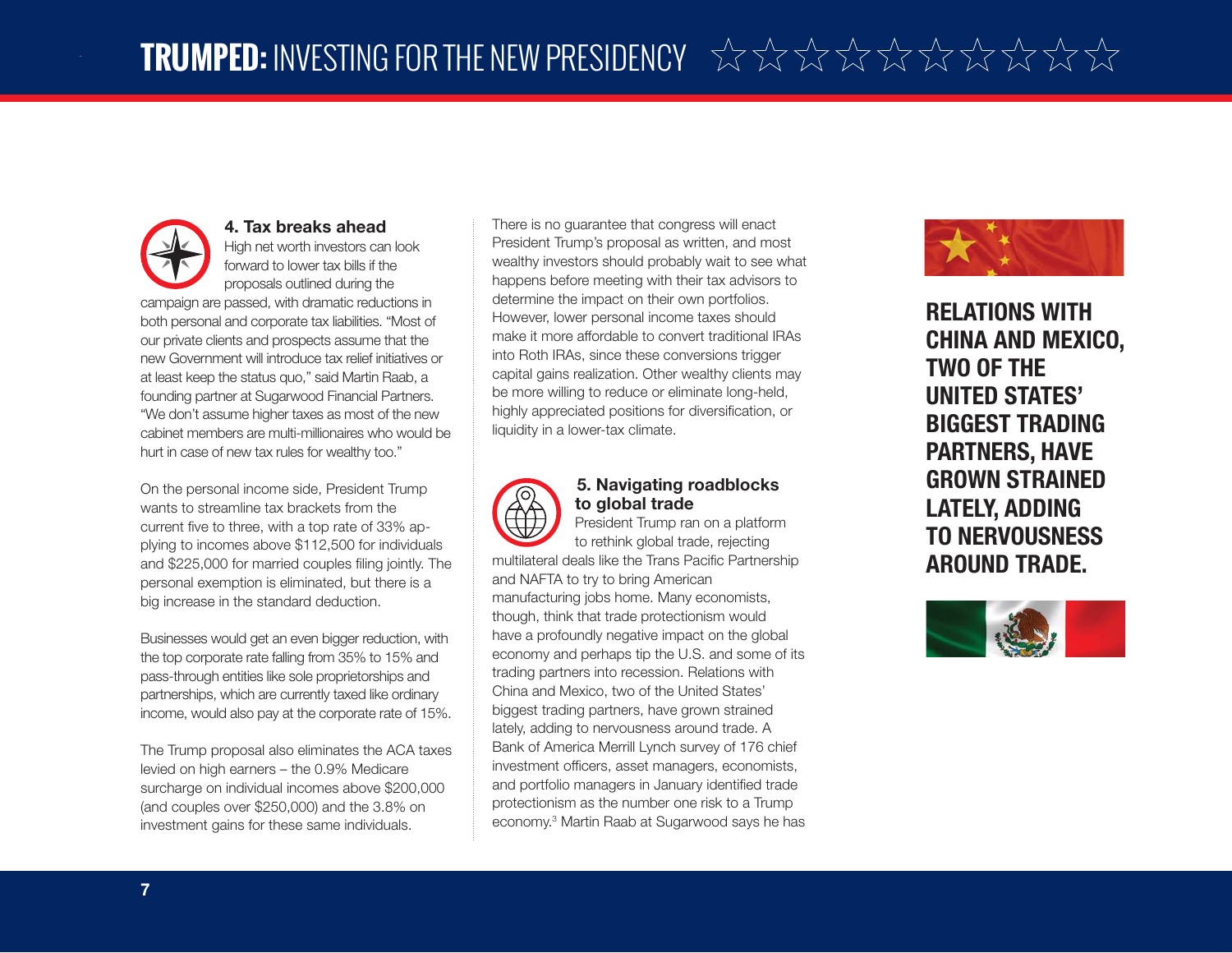

On the personal income side, President Trump wants to streamline tax brackets from the current five to three, with a top rate of 33% applying to incomes above \$112,500 for individuals and \$225,000 for married couples filing jointly. The personal exemption is eliminated, but there is a big increase in the standard deduction.

Businesses would get an even bigger reduction, with the top corporate rate falling from 35% to 15% and pass-through entities like sole proprietorships and partnerships, which are currently taxed like ordinary income, would also pay at the corporate rate of 15%.

The Trump proposal also eliminates the ACA taxes levied on high earners – the 0.9% Medicare surcharge on individual incomes above \$200,000 (and couples over \$250,000) and the 3.8% on investment gains for these same individuals.

There is no guarantee that congress will enact President Trump's proposal as written, and most wealthy investors should probably wait to see what happens before meeting with their tax advisors to determine the impact on their own portfolios. However, lower personal income taxes should make it more affordable to convert traditional IRAs into Roth IRAs, since these conversions trigger capital gains realization. Other wealthy clients may be more willing to reduce or eliminate long-held, highly appreciated positions for diversification, or liquidity in a lower-tax climate.



#### **5. Navigating roadblocks to global trade**

President Trump ran on a platform to rethink global trade, rejecting

multilateral deals like the Trans Pacific Partnership and NAFTA to try to bring American manufacturing jobs home. Many economists, though, think that trade protectionism would have a profoundly negative impact on the global economy and perhaps tip the U.S. and some of its trading partners into recession. Relations with China and Mexico, two of the United States' biggest trading partners, have grown strained lately, adding to nervousness around trade. A Bank of America Merrill Lynch survey of 176 chief investment officers, asset managers, economists, and portfolio managers in January identified trade protectionism as the number one risk to a Trump economy.3 Martin Raab at Sugarwood says he has



**RELATIONS WITH CHINA AND MEXICO, TWO OF THE UNITED STATES' BIGGEST TRADING PARTNERS, HAVE GROWN STRAINED LATELY, ADDING TO NERVOUSNESS AROUND TRADE.**

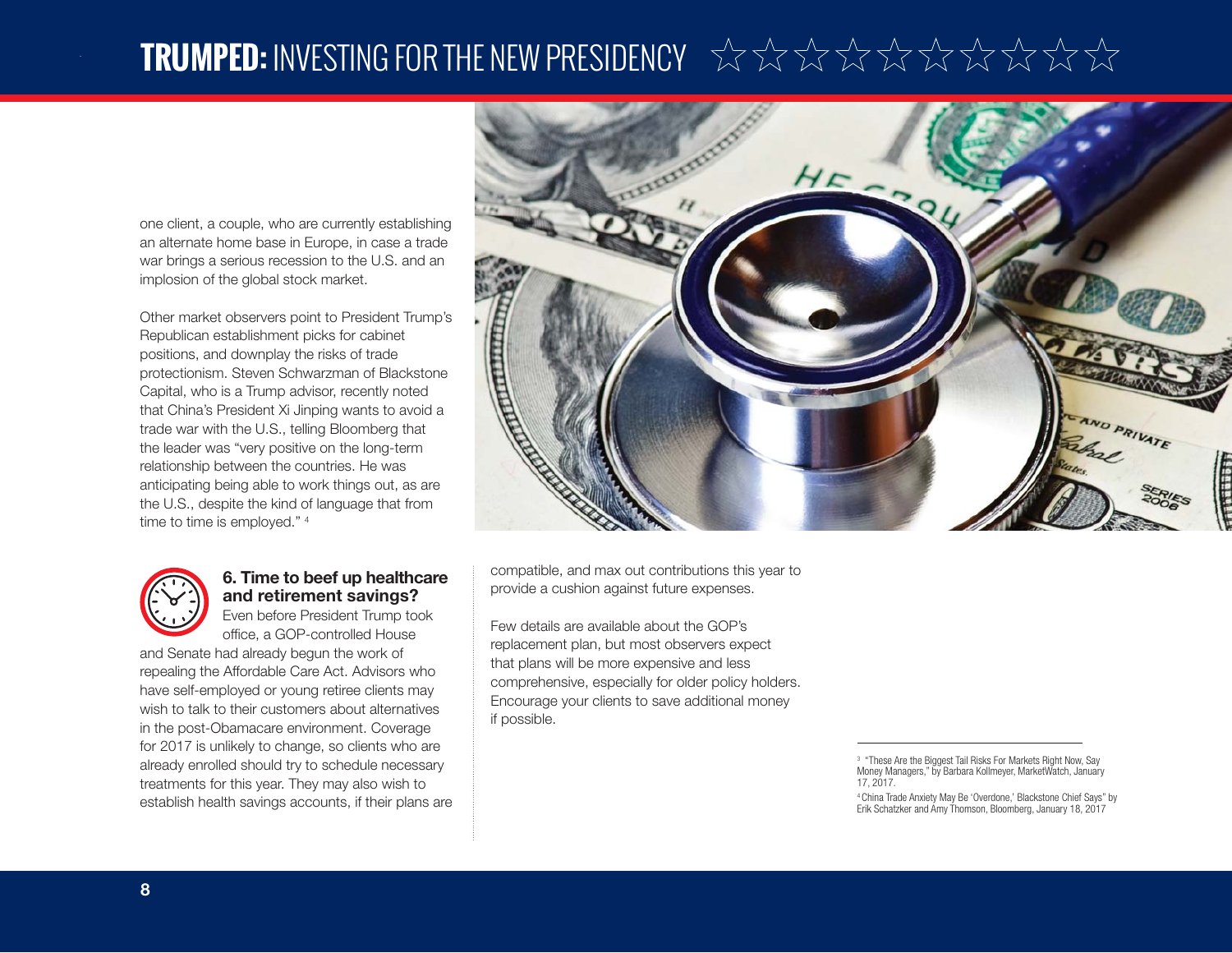### **TRUMPED:** INVESTING FOR THE NEW PRESIDENCY

one client, a couple, who are currently establishing an alternate home base in Europe, in case a trade war brings a serious recession to the U.S. and an implosion of the global stock market.

Other market observers point to President Trump's Republican establishment picks for cabinet positions, and downplay the risks of trade protectionism. Steven Schwarzman of Blackstone Capital, who is a Trump advisor, recently noted that China's President Xi Jinping wants to avoid a trade war with the U.S., telling Bloomberg that the leader was "very positive on the long-term relationship between the countries. He was anticipating being able to work things out, as are the U.S., despite the kind of language that from time to time is employed." 4



### **6. Time to beef up healthcare and retirement savings?**

Even before President Trump took office, a GOP-controlled House

and Senate had already begun the work of repealing the Affordable Care Act. Advisors who have self-employed or young retiree clients may wish to talk to their customers about alternatives in the post-Obamacare environment. Coverage for 2017 is unlikely to change, so clients who are already enrolled should try to schedule necessary treatments for this year. They may also wish to establish health savings accounts, if their plans are



compatible, and max out contributions this year to provide a cushion against future expenses.

Few details are available about the GOP's replacement plan, but most observers expect that plans will be more expensive and less comprehensive, especially for older policy holders. Encourage your clients to save additional money if possible.

4 China Trade Anxiety May Be 'Overdone,' Blackstone Chief Says" by Erik Schatzker and Amy Thomson, Bloomberg, January 18, 2017

<sup>3 &</sup>quot;These Are the Biggest Tail Risks For Markets Right Now, Say Money Managers," by Barbara Kollmeyer, MarketWatch, January 17, 2017.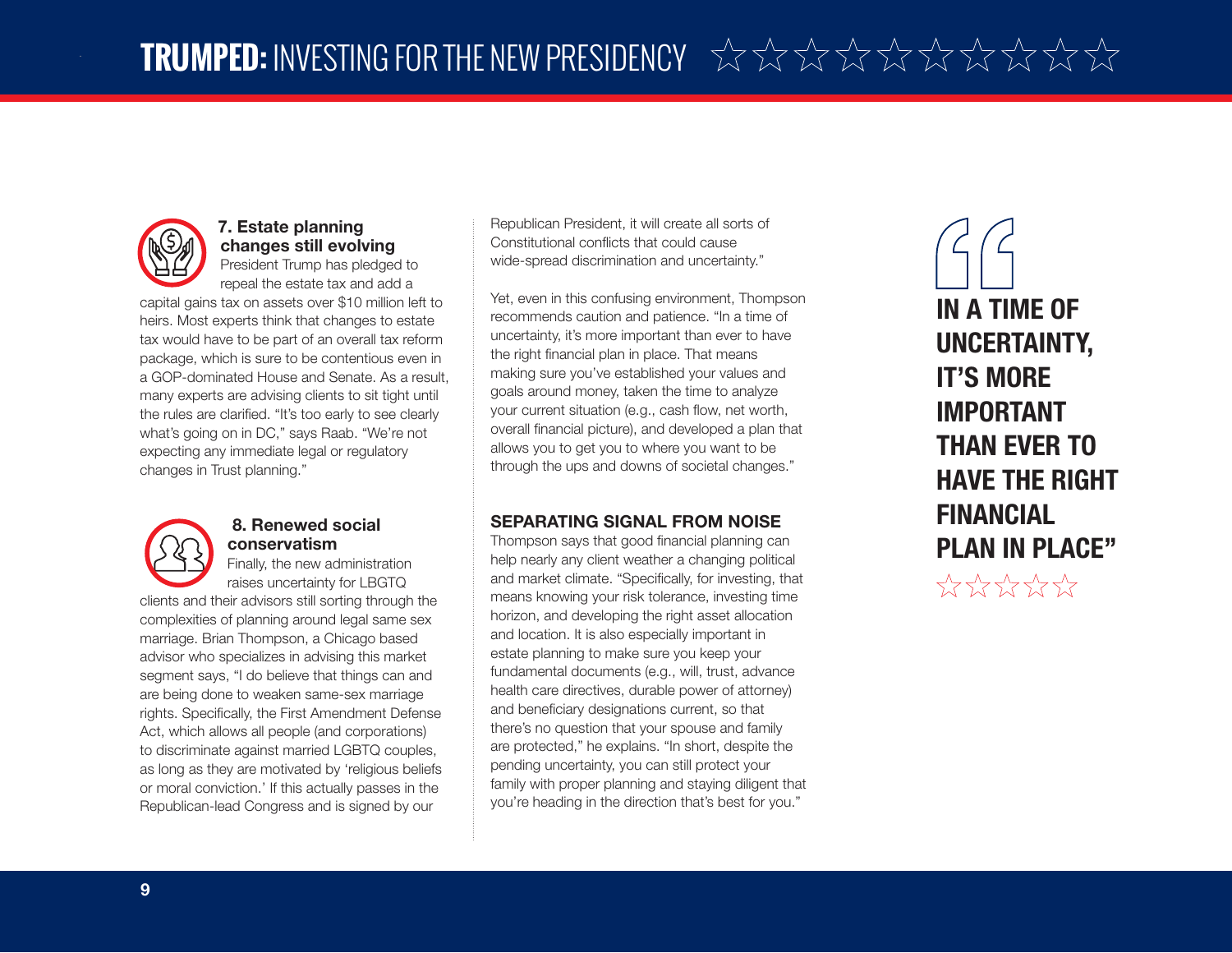

### **7. Estate planning changes still evolving**

President Trump has pledged to repeal the estate tax and add a

capital gains tax on assets over \$10 million left to heirs. Most experts think that changes to estate tax would have to be part of an overall tax reform package, which is sure to be contentious even in a GOP-dominated House and Senate. As a result, many experts are advising clients to sit tight until the rules are clarified. "It's too early to see clearly what's going on in DC," says Raab. "We're not expecting any immediate legal or regulatory changes in Trust planning."



#### **8. Renewed social conservatism**

Finally, the new administration raises uncertainty for LBGTQ

clients and their advisors still sorting through the complexities of planning around legal same sex marriage. Brian Thompson, a Chicago based advisor who specializes in advising this market segment says, "I do believe that things can and are being done to weaken same-sex marriage rights. Specifically, the First Amendment Defense Act, which allows all people (and corporations) to discriminate against married LGBTQ couples, as long as they are motivated by 'religious beliefs or moral conviction.' If this actually passes in the Republican-lead Congress and is signed by our

Republican President, it will create all sorts of Constitutional conflicts that could cause wide-spread discrimination and uncertainty."

Yet, even in this confusing environment, Thompson recommends caution and patience. "In a time of uncertainty, it's more important than ever to have the right financial plan in place. That means making sure you've established your values and goals around money, taken the time to analyze your current situation (e.g., cash flow, net worth, overall financial picture), and developed a plan that allows you to get you to where you want to be through the ups and downs of societal changes."

#### **SEPARATING SIGNAL FROM NOISE**

Thompson says that good financial planning can help nearly any client weather a changing political and market climate. "Specifically, for investing, that means knowing your risk tolerance, investing time horizon, and developing the right asset allocation and location. It is also especially important in estate planning to make sure you keep your fundamental documents (e.g., will, trust, advance health care directives, durable power of attorney) and beneficiary designations current, so that there's no question that your spouse and family are protected," he explains. "In short, despite the pending uncertainty, you can still protect your family with proper planning and staying diligent that you're heading in the direction that's best for you."

**IN A TIME OF UNCERTAINTY, IT'S MORE IMPORTANT THAN EVER TO HAVE THE RIGHT FINANCIAL PLAN IN PLACE"**\*\*\*\*\*\*\*